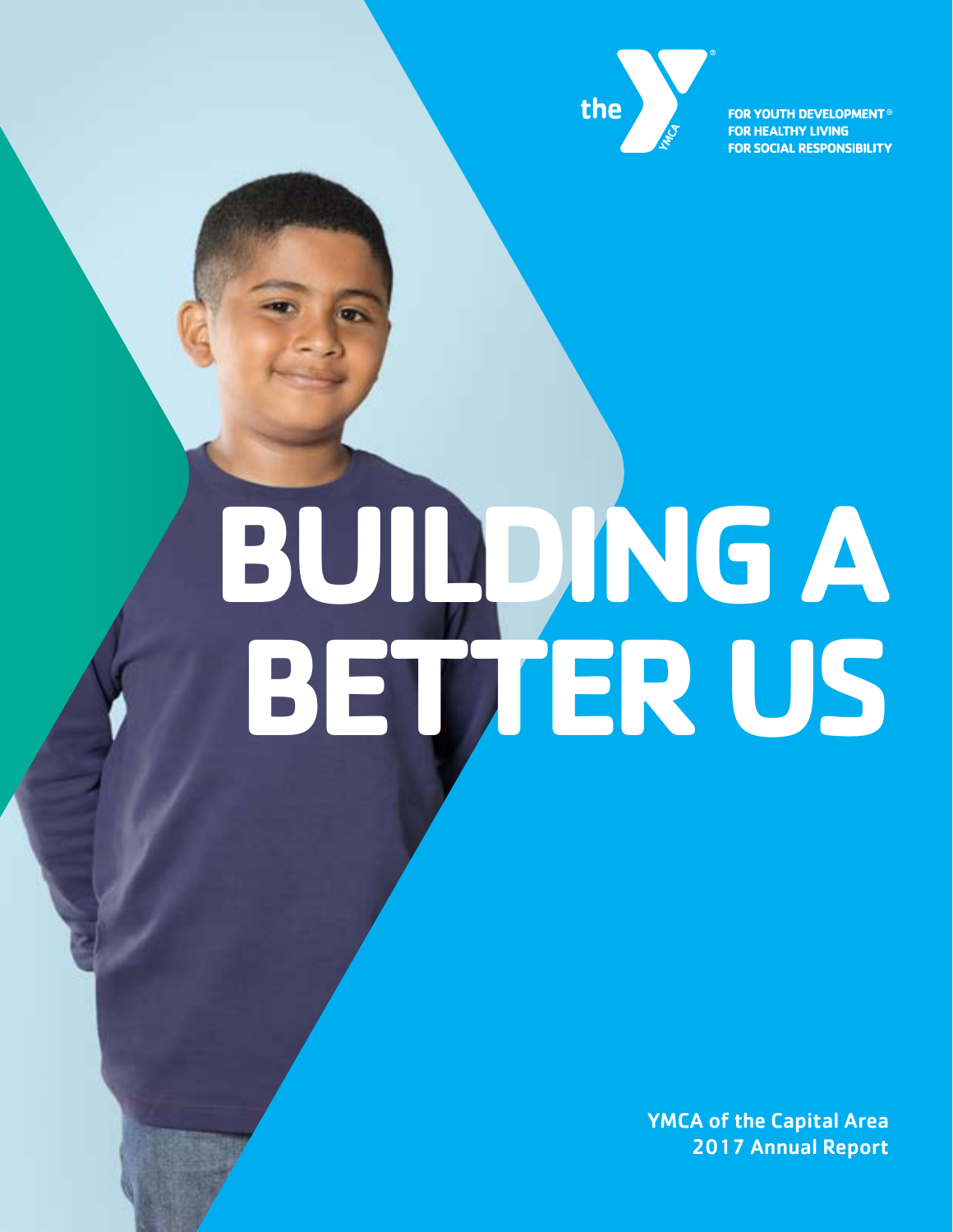

**FOR YOUTH DEVELOPMENT® FOR HEALTHY LIVING FOR SOCIAL RESPONSIBILITY** 

# **BUILDING A BETTER US**

YMCA of the Capital Area 2017 Annual Report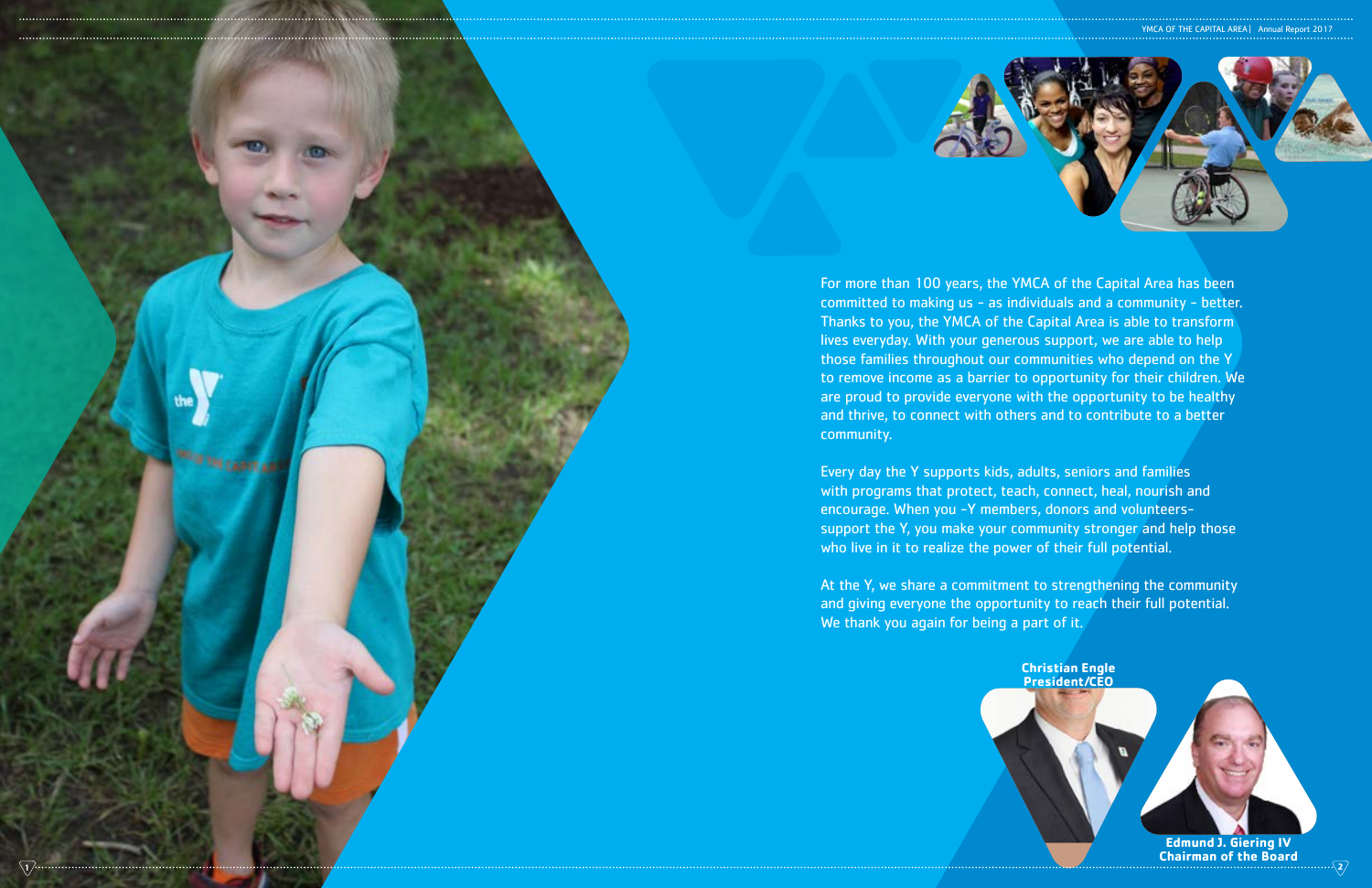

For more than 100 years, the YMCA of the Capital Area has been committed to making us - as individuals and a community - better. Thanks to you, the YMCA of the Capital Area is able to transform lives everyday. With your generous support, we are able to help those families throughout our communities who depend on the Y to remove income as a barrier to opportunity for their children. We are proud to provide everyone with the opportunity to be healthy and thrive, to connect with others and to contribute to a better community.

**Edmund J. Giering IV Chairman of the Board 1 2**

Every day the Y supports kids, adults, seniors and families with programs that protect, teach, connect, heal, nourish and encourage. When you -Y members, donors and volunteerssupport the Y, you make your community stronger and help those who live in it to realize the power of their full potential.

At the Y, we share a commitment to strengthening the community and giving everyone the opportunity to reach their full potential. We thank you again for being a part of it.

YMCA OF THE CAPITAL AREA | Annual Report 2017



**Christian Engle President/CEO**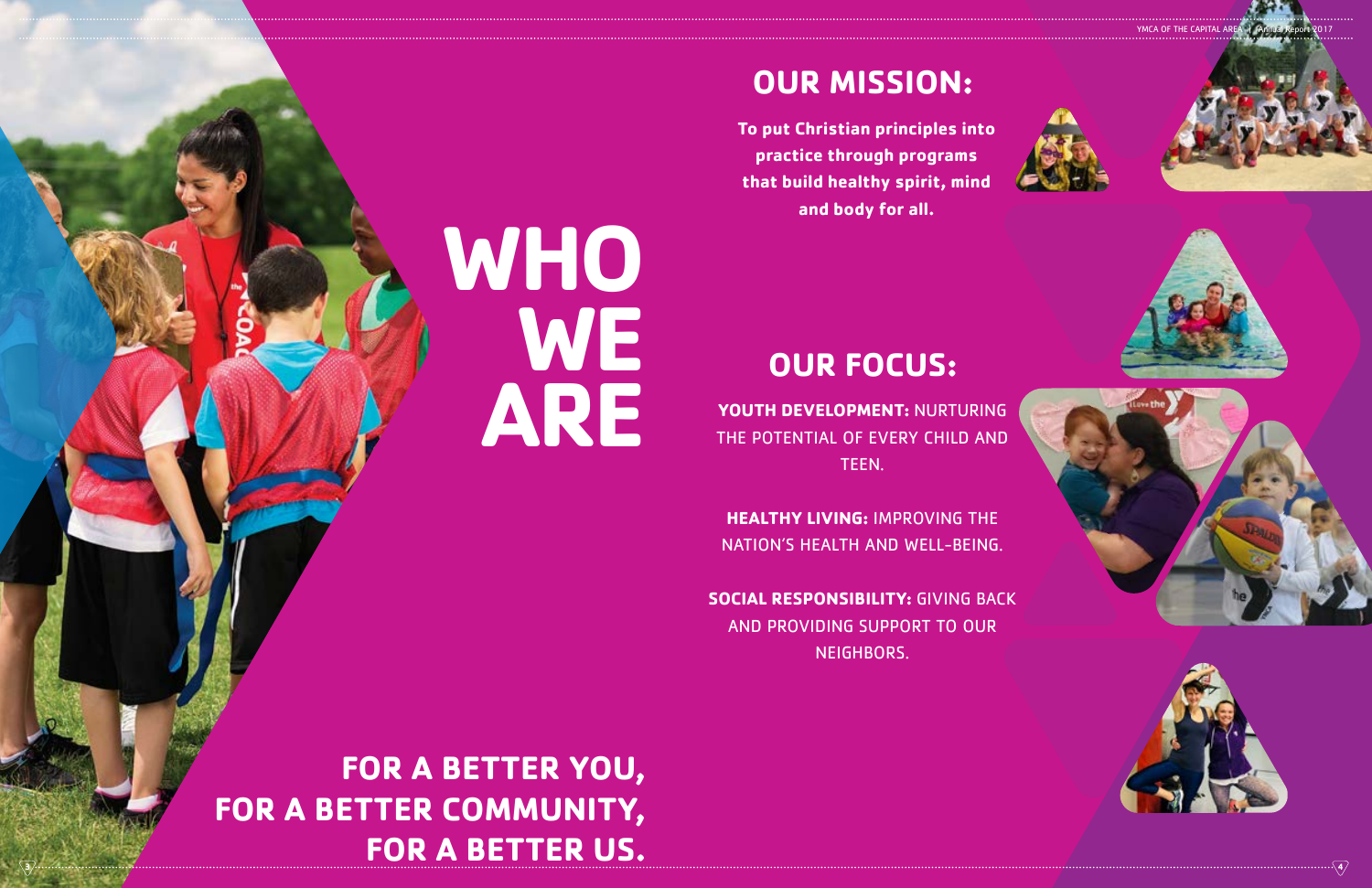**YOUTH DEVELOPMENT:** NURTURING THE POTENTIAL OF EVERY CHILD AND TEEN.

**HEALTHY LIVING:** IMPROVING THE NATION'S HEALTH AND WELL-BEING.

**SOCIAL RESPONSIBILITY:** GIVING BACK AND PROVIDING SUPPORT TO OUR NEIGHBORS.

**FOR A BETTER YOU, FOR A BETTER COMMUNITY, FOR A BETTER US. 3 4**

**WHO** 

**WE**

**ARE**

# **OUR MISSION:**

# **OUR FOCUS:**

**To put Christian principles into practice through programs that build healthy spirit, mind and body for all.**

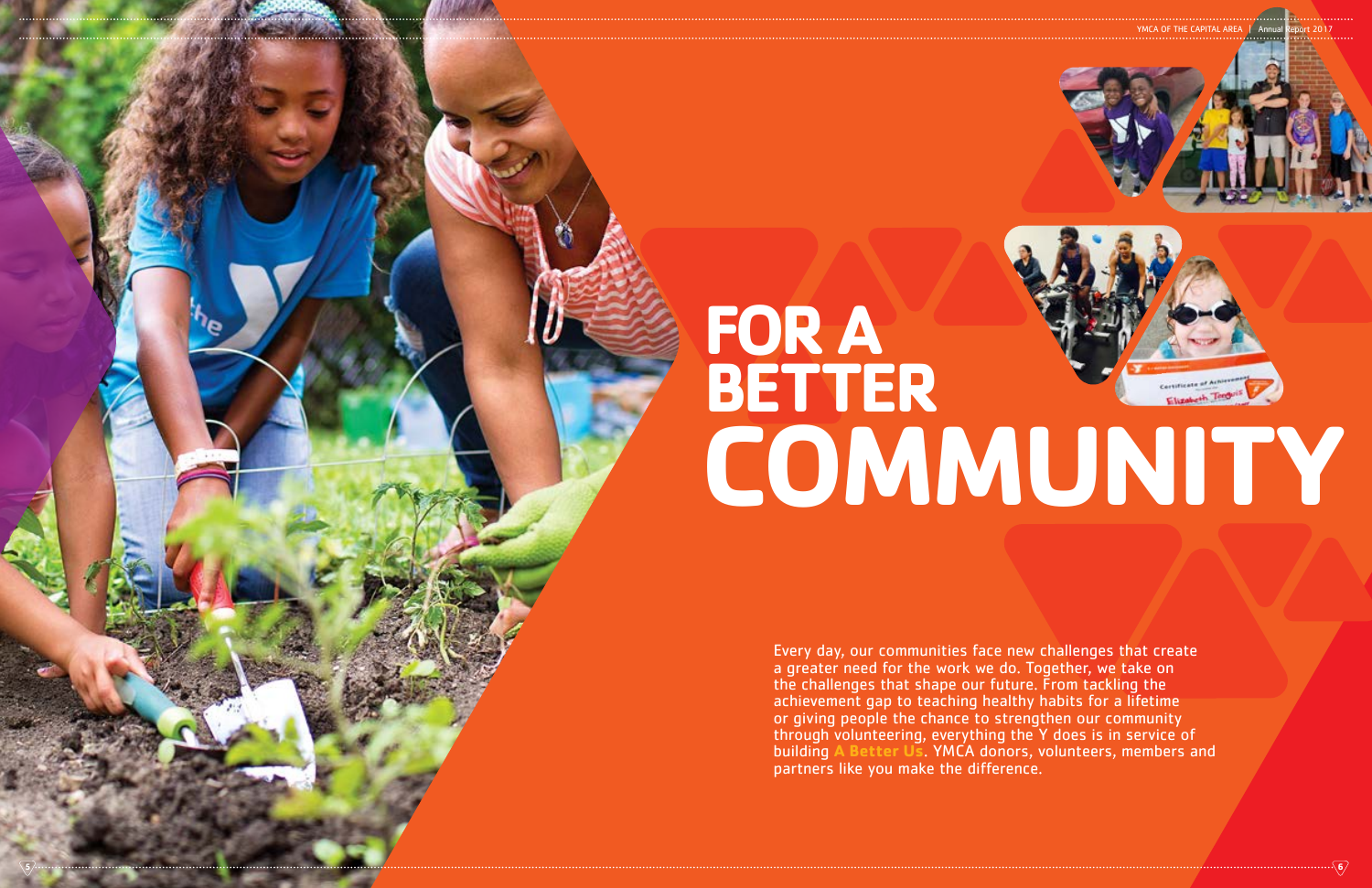# **FOR A BETTER**



Every day, our communities face new challenges that create a greater need for the work we do. Together, we take on the challenges that shape our future. From tackling the achievement gap to teaching healthy habits for a lifetime or giving people the chance to strengthen our community through volunteering, everything the Y does is in service of building **A Better Us**. YMCA donors, volunteers, members and partners like you make the difference.

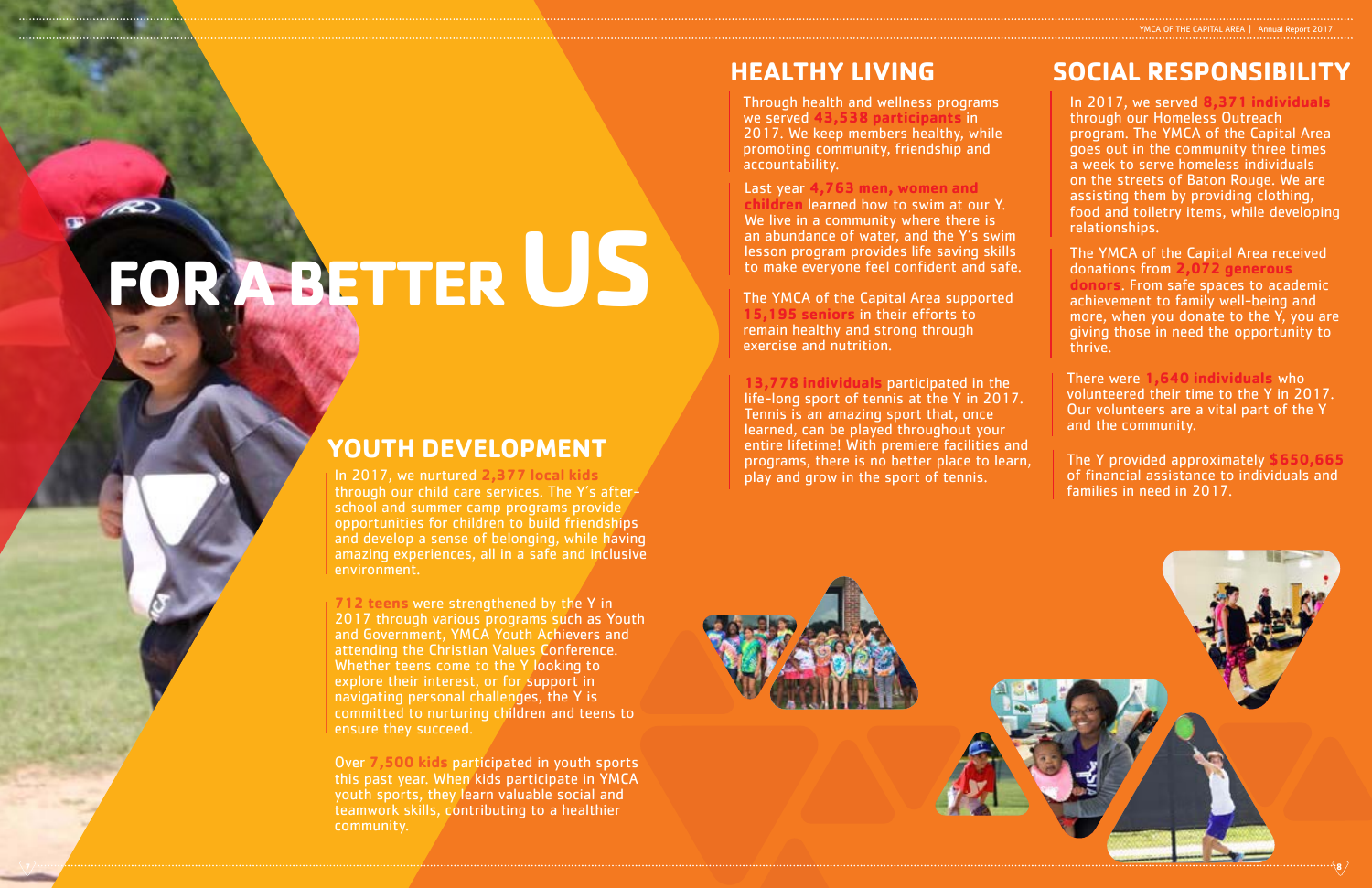# **HEALTHY LIVING SOCIAL RESPONSIBILITY**

# **FOR A BETTER US**



# YMCA OF THE CAPITAL AREA | Annual Report 201

The Y provided approximately **\$650,665** of financial assistance to individuals and families in need in 2017.

In 2017, we nurtured **2,377 local kids**  through our child care services. The Y's afterschool and summer camp programs provide opportunities for children to build friendships and develop a sense of belonging, while having amazing experiences, all in a safe and inclusive environment.

**712 teens** were strengthened by the Y in 2017 through various programs such as Youth and Government, YMCA Youth Achievers and attending the Christian Values Conference. Whether teens come to the Y looking to explore their interest, or for support in navigating personal challenges, the Y is committed to nurturing children and teens to ensure they succeed.

Over **7,500 kids** participated in youth sports this past year. When kids participate in YMCA youth sports, they learn valuable social and teamwork skills, contributing to a healthier community.

Through health and wellness programs we served **43,538 participants** in 2017. We keep members healthy, while promoting community, friendship and accountability.

Last year **4,763 men, women and children** learned how to swim at our Y. We live in a community where there is an abundance of water, and the Y's swim lesson program provides life saving skills to make everyone feel confident and safe.

The YMCA of the Capital Area supported **15,195 seniors** in their efforts to remain healthy and strong through exercise and nutrition.

**13,778 individuals** participated in the life-long sport of tennis at the Y in 2017. Tennis is an amazing sport that, once learned, can be played throughout your entire lifetime! With premiere facilities and programs, there is no better place to learn, play and grow in the sport of tennis.

The YMCA of the Capital Area received donations from **2,072 generous donors**. From safe spaces to academic achievement to family well-being and more, when you donate to the  $\overline{Y}$ , you are giving those in need the opportunity to thrive.

There were **1,640 individuals** who volunteered their time to the Y in 2017. Our volunteers are a vital part of the Y and the community.

In 2017, we served **8,371 individuals** through our Homeless Outreach program. The YMCA of the Capital Area goes out in the community three times a week to serve homeless individuals on the streets of Baton Rouge. We are assisting them by providing clothing, food and toiletry items, while developing relationships.

# **YOUTH DEVELOPMENT**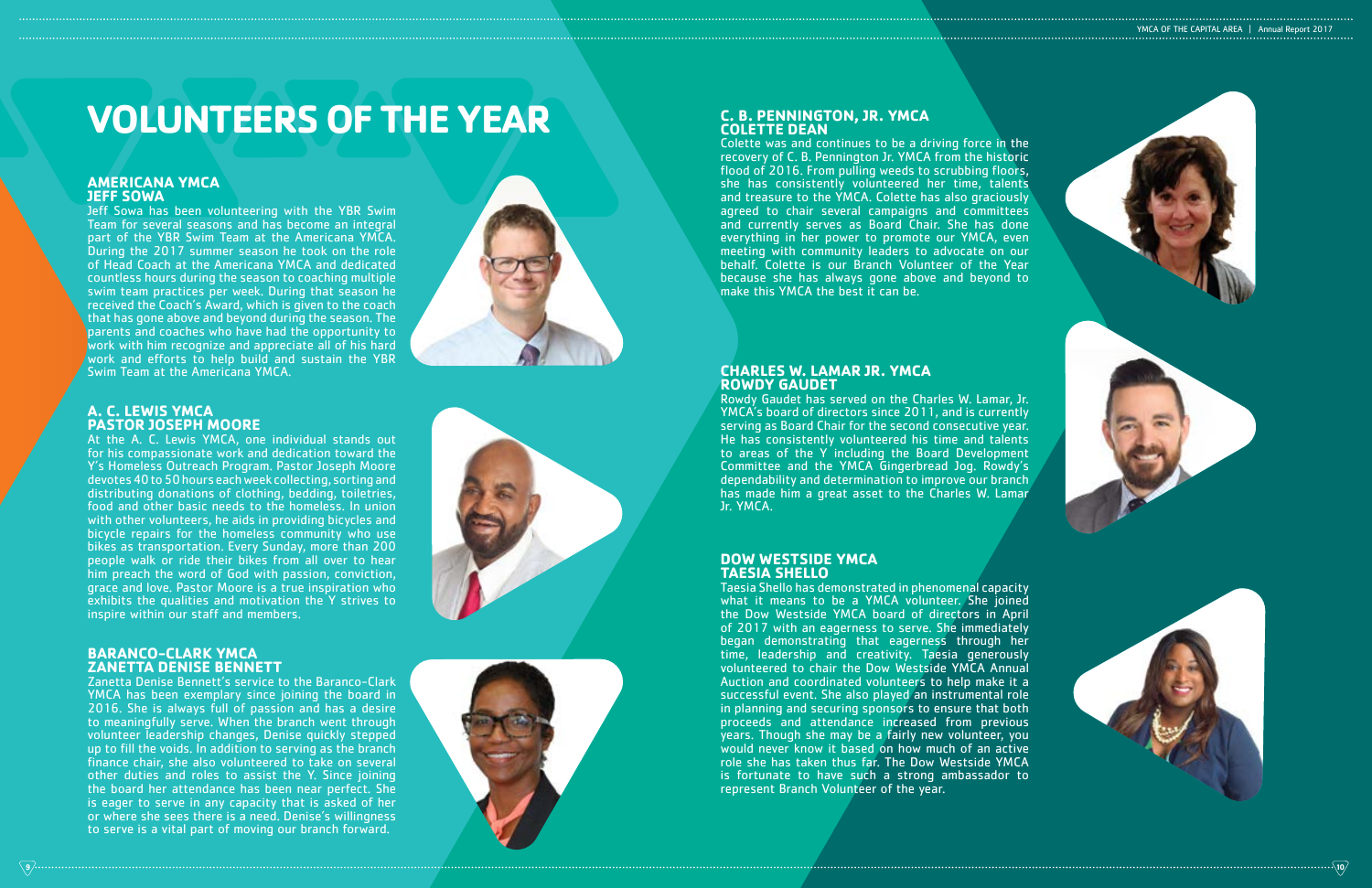# **BARANCO-CLARK YMCA ZANETTA DENISE BENNETT**

Zanetta Denise Bennett's service to the Baranco-Clark YMCA has been exemplary since joining the board in 2016. She is always full of passion and has a desire to meaningfully serve. When the branch went through volunteer leadership changes, Denise quickly stepped up to fill the voids. In addition to serving as the branch finance chair, she also volunteered to take on several other duties and roles to assist the Y. Since joining the board her attendance has been near perfect. She is eager to serve in any capacity that is asked of her or where she sees there is a need. Denise's willingness to serve is a vital part of moving our branch forward.





# **C. B. PENNINGTON, JR. YMCA COLETTE DEAN**

Colette was and continues to be a driving force in the recovery of C. B. Pennington Jr. YMCA from the historic flood of 2016. From pulling weeds to scrubbing floors, she has consistently volunteered her time, talents and treasure to the YMCA. Colette has also graciously agreed to chair several campaigns and committees and currently serves as Board Chair. She has done everything in her power to promote our YMCA, even meeting with community leaders to advocate on our behalf. Colette is our Branch Volunteer of the Year because she has always gone above and beyond to make this YMCA the best it can be.

# **DOW WESTSIDE YMCA TAESIA SHELLO**

Taesia Shello has demonstrated in phenomenal capacity what it means to be a YMCA volunteer. She joined the Dow Westside YMCA board of directors in April of 2017 with an eagerness to serve. She immediately began demonstrating that eagerness through her time, leadership and creativity. Taesia generously volunteered to chair the Dow Westside YMCA Annual Auction and coordinated volunteers to help make it a successful event. She also played an instrumental role in planning and securing sponsors to ensure that both proceeds and attendance increased from previous years. Though she may be a fairly new volunteer, you would never know it based on how much of an active role she has taken thus far. The Dow Westside YMCA is fortunate to have such a strong ambassador to represent Branch Volunteer of the year.

YMCA OF THE CAPITAL AREA | Annual Report 2017



# **VOLUNTEERS OF THE YEAR**

# **A. C. LEWIS YMCA PASTOR JOSEPH MOORE**

At the A. C. Lewis YMCA, one individual stands out for his compassionate work and dedication toward the Y's Homeless Outreach Program. Pastor Joseph Moore devotes 40 to 50 hours each week collecting, sorting and distributing donations of clothing, bedding, toiletries, food and other basic needs to the homeless. In union with other volunteers, he aids in providing bicycles and bicycle repairs for the homeless community who use bikes as transportation. Every Sunday, more than 200 people walk or ride their bikes from all over to hear him preach the word of God with passion, conviction, grace and love. Pastor Moore is a true inspiration who exhibits the qualities and motivation the Y strives to inspire within our staff and members.

# **CHARLES W. LAMAR JR. YMCA ROWDY GAUDET**

Rowdy Gaudet has served on the Charles W. Lamar, Jr. YMCA's board of directors since 2011, and is currently serving as Board Chair for the second consecutive year. He has consistently volunteered his time and talents to areas of the Y including the Board Development Committee and the YMCA Gingerbread Jog. Rowdy's dependability and determination to improve our branch has made him a great asset to the Charles W. Lamar Jr. YMCA.

# **AMERICANA YMCA JEFF SOWA**

Jeff Sowa has been volunteering with the YBR Swim Team for several seasons and has become an integral part of the YBR Swim Team at the Americana YMCA. During the 2017 summer season he took on the role of Head Coach at the Americana YMCA and dedicated countless hours during the season to coaching multiple swim team practices per week. During that season he received the Coach's Award, which is given to the coach that has gone above and beyond during the season. The parents and coaches who have had the opportunity to work with him recognize and appreciate all of his hard work and efforts to help build and sustain the YBR Swim Team at the Americana YMCA.



**9 10**

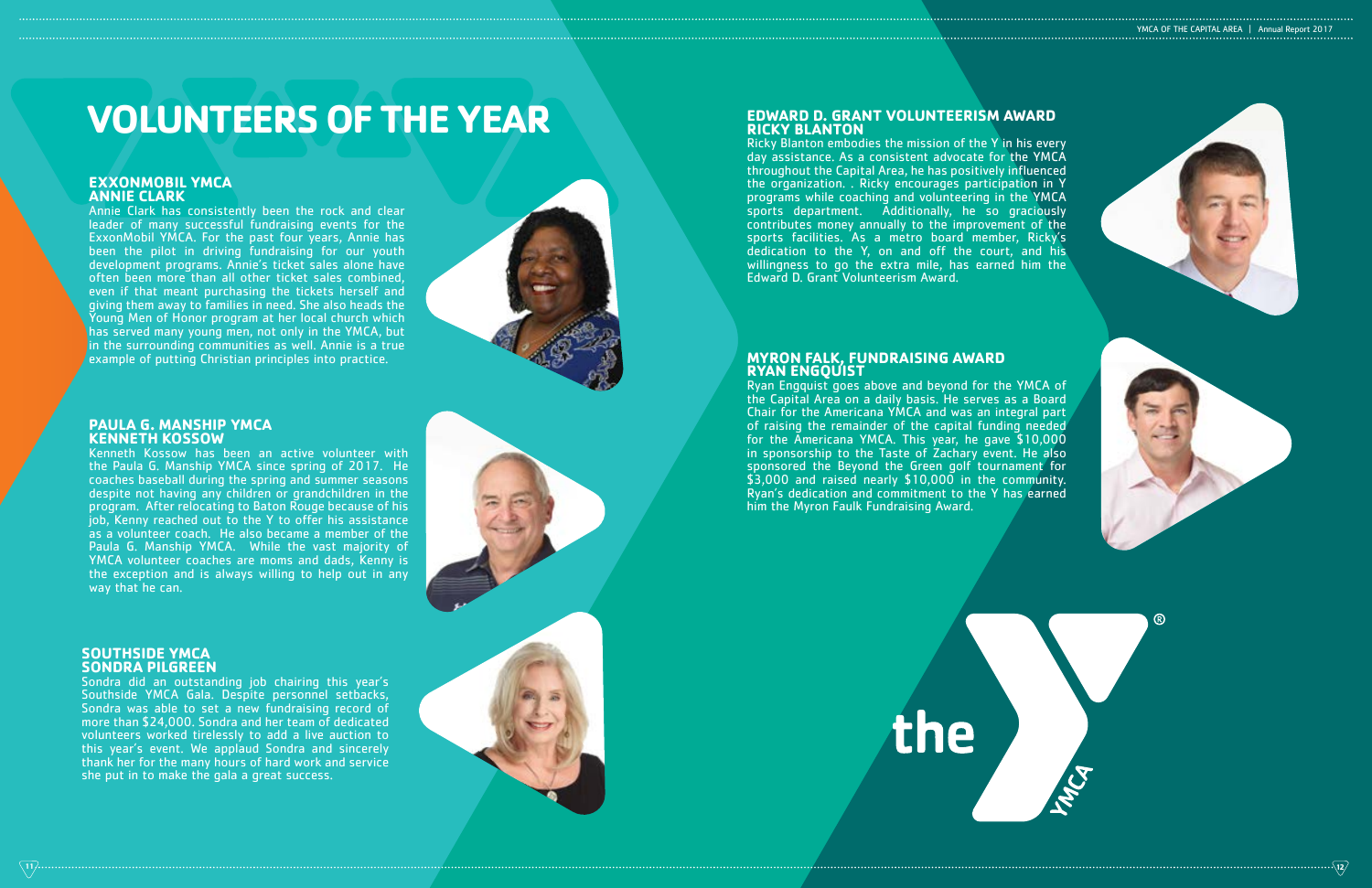# **PAULA G. MANSHIP YMCA KENNETH KOSSOW**

Kenneth Kossow has been an active volunteer with the Paula G. Manship YMCA since spring of 2017. He coaches baseball during the spring and summer seasons despite not having any children or grandchildren in the program. After relocating to Baton Rouge because of his job, Kenny reached out to the Y to offer his assistance as a volunteer coach. He also became a member of the Paula G. Manship YMCA. While the vast majority of YMCA volunteer coaches are moms and dads, Kenny is the exception and is always willing to help out in any way that he can.

### **SOUTHSIDE YMCA SONDRA PILGREEN**

Sondra did an outstanding job chairing this year's Southside YMCA Gala. Despite personnel setbacks, Sondra was able to set a new fundraising record of more than \$24,000. Sondra and her team of dedicated volunteers worked tirelessly to add a live auction to this year's event. We applaud Sondra and sincerely thank her for the many hours of hard work and service she put in to make the gala a great success.



# **EDWARD D. GRANT VOLUNTEERISM AWARD RICKY BLANTON**

Ricky Blanton embodies the mission of the Y in his every day assistance. As a consistent advocate for the YMCA throughout the Capital Area, he has positively influenced the organization. . Ricky encourages participation in Y programs while coaching and volunteering in the YMCA sports department. Additionally, he so graciously contributes money annually to the improvement of the sports facilities. As a metro board member, Ricky's dedication to the Y, on and off the court, and his willingness to go the extra mile, has earned him the Edward D. Grant Volunteerism Award.

# **MYRON FALK, FUNDRAISING AWARD RYAN ENGQUIST**

Ryan Engquist goes above and beyond for the YMCA of the Capital Area on a daily basis. He serves as a Board Chair for the Americana YMCA and was an integral part of raising the remainder of the capital funding needed for the Americana YMCA. This year, he gave \$10,000 in sponsorship to the Taste of Zachary event. He also sponsored the Beyond the Green golf tournament for \$3,000 and raised nearly \$10,000 in the community. Ryan's dedication and commitment to the Y has earned him the Myron Faulk Fundraising Award.

the





# **VOLUNTEERS OF THE YEAR**

# **EXXONMOBIL YMCA ANNIE CLARK**

Annie Clark has consistently been the rock and clear leader of many successful fundraising events for the ExxonMobil YMCA. For the past four years, Annie has been the pilot in driving fundraising for our youth development programs. Annie's ticket sales alone have often been more than all other ticket sales combined, even if that meant purchasing the tickets herself and giving them away to families in need. She also heads the Young Men of Honor program at her local church which has served many young men, not only in the YMCA, but in the surrounding communities as well. Annie is a true example of putting Christian principles into practice.



**11**

**12**

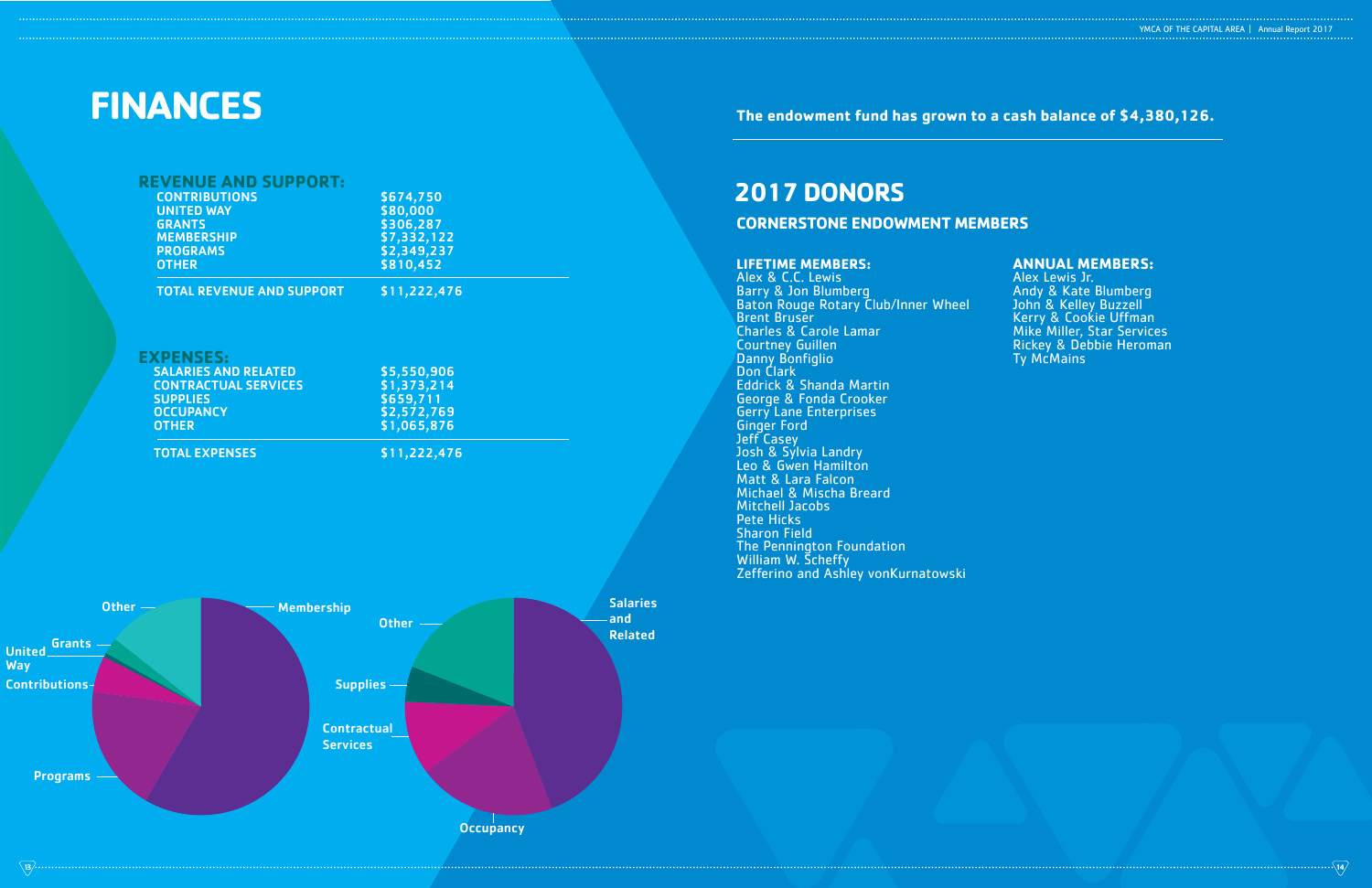**The endowment fund has grown to a cash balance of \$4,380,126.** 

# **LIFETIME MEMBERS:**

Alex & C.C. Lewis Barry & Jon Blumberg Baton Rouge Rotary Club/Inner Wheel Brent Bruser Charles & Carole Lamar Courtney Guillen Danny Bonfiglio Don Clark Eddrick & Shanda Martin George & Fonda Crooker Gerry Lane Enterprises Ginger Ford Jeff Casey Josh & Sylvia Landry Leo & Gwen Hamilton Matt & Lara Falcon Michael & Mischa Breard Mitchell Jacobs Pete Hicks Sharon Field The Pennington Foundation William W. Scheffy Zefferino and Ashley vonKurnatowski

**Unit Way** 

Cont

| YMCA OF THE CAPITAL AREA   Annual Report 2017 |  |
|-----------------------------------------------|--|
|                                               |  |

|                       | <b>REVENUE AND SUPPORT:</b><br><b>CONTRIBUTIONS</b><br><b>UNITED WAY</b><br><b>GRANTS</b><br><b>MEMBERSHIP</b><br><b>PROGRAMS</b><br><b>OTHER</b> | \$674,750<br>\$80,000<br>\$306,287<br>\$7,332,122<br>\$2,349,237<br>\$810,452 |                                          |
|-----------------------|---------------------------------------------------------------------------------------------------------------------------------------------------|-------------------------------------------------------------------------------|------------------------------------------|
|                       | <b>TOTAL REVENUE AND SUPPORT</b>                                                                                                                  | \$11,222,476                                                                  |                                          |
|                       | <b>EXPENSES:</b><br><b>SALARIES AND RELATED</b><br><b>CONTRACTUAL SERVICES</b><br><b>SUPPLIES</b><br><b>OCCUPANCY</b><br><b>OTHER</b>             | \$5,550,906<br>\$1,373,214<br>\$659,711<br>\$2,572,769<br>\$1,065,876         |                                          |
|                       | <b>TOTAL EXPENSES</b>                                                                                                                             | \$11,222,476                                                                  |                                          |
|                       |                                                                                                                                                   |                                                                               |                                          |
| Other $-$<br>Grants - | <b>Membership</b>                                                                                                                                 | Other -                                                                       | <b>Salaries</b><br>and<br><b>Related</b> |
| ed<br>ributions-      |                                                                                                                                                   | Supplies-                                                                     |                                          |
| <b>Programs</b>       |                                                                                                                                                   | <b>Contractual</b><br><b>Services</b>                                         |                                          |

**Occupancy** 

# **2017 DONORS CORNERSTONE ENDOWMENT MEMBERS**

# **ANNUAL MEMBERS:**

Alex Lewis Jr. Andy & Kate Blumberg John & Kelley Buzzell Kerry & Cookie Uffman Mike Miller, Star Services Rickey & Debbie Heroman Ty McMains

# **FINANCES**

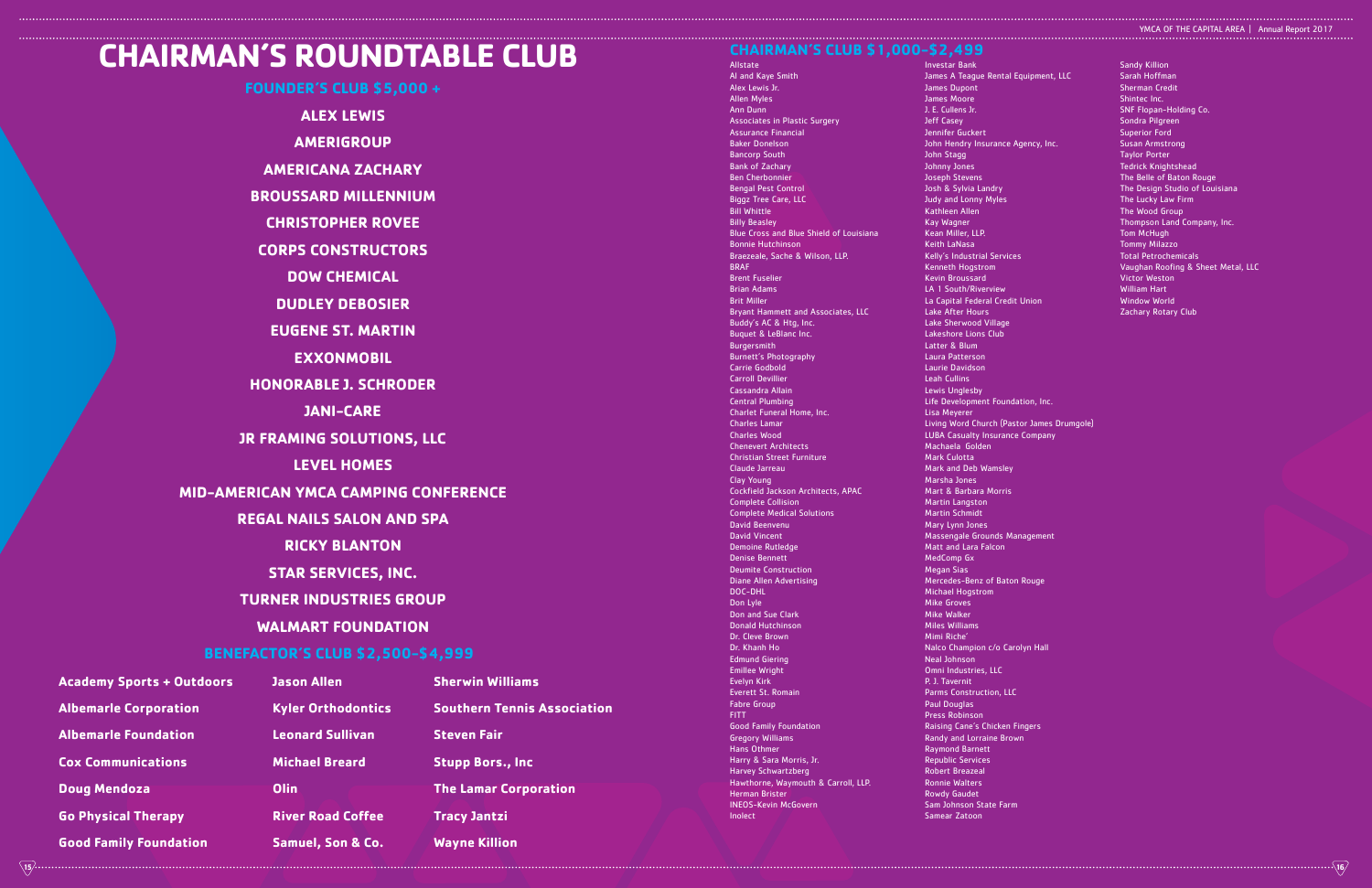Allstate Al and Kaye Smith Alex Lewis Jr. Allen Myles Ann Dunn Associates in Plastic Surgery Assurance Financial Baker Donelson Bancorp South Bank of Zachary Ben Cherbonnie Bengal Pest Control Biggz Tree Care, LLC Bill Whittle Billy Beasley Blue Cross and Blue Shield of Louisiana Bonnie Hutchinson Braezeale, Sache & Wilson, LLP. BRAF Brent Fuselier Brian Adams Brit Miller Bryant Hammett and Associates, LLC Buddy's AC & Htg, Inc. Buquet & LeBlanc Inc. Burgersmith Burnett's Photography Carrie Godbold Carroll Devillier Cassandra Allain Central Plumbing Charlet Funeral Home, Inc. Charles Lamar Charles Wood Chenevert Architects Christian Street Furniture Claude Jarreau Clay Young Cockfield Jackson Architects, APAC Complete Collision Complete Medical Solutions David Beenvenu David Vincent Demoine Rutledge Denise Bennett Deumite Construction Diane Allen Advertising DOC-DHL Don Lyle Don and Sue Clark Donald Hutchinson Dr. Cleve Brown Dr. Khanh Ho Edmund Giering Emillee Wright Evelyn Kirk Everett St. Romain Fabre Group FITT Good Family Foundation Gregory Williams Hans Othmer Harry & Sara Morris, Jr. Harvey Schwartzberg Hawthorne, Waymouth & Carroll, LLP. Herman Brister INEOS-Kevin McGovern Inolect

Investar Bank James A Teague Renta James Dupont James Moore J. E. Cullens Jr. Jeff Casey Jennifer Guckert John Hendry Insuranc John Stagg Johnny Jones Joseph Stevens Josh & Sylvia Landry Judy and Lonny Myles Kathleen Allen Kay Wagner Kean Miller, LLP. Keith LaNasa Kelly's Industrial Serv Kenneth Hogstrom Kevin Broussard LA 1 South/Riverview La Capital Federal Cre Lake After Hours Lake Sherwood Village Lakeshore Lions Club Latter & Blum Laura Patterson Laurie Davidson Leah Cullins Lewis Unglesby Life Development Foundation, Inc. Lisa Meyerer Living Word Church (Pastor James Drumgole) LUBA Casualty Insurance Company Machaela Golden Mark Culotta Mark and Deb Wamsley Marsha Jones Mart & Barbara Morris Martin Langston Martin Schmidt Mary Lynn Jones Massengale Grounds Management Matt and Lara Falcon MedComp Gx Megan Sias Mercedes-Benz of Baton Rouge Michael Hogstrom Mike Groves Mike Walker Miles Williams Mimi Riche' Nalco Champion c/o Carolyn Hall Neal Johnson Omni Industries, LLC P. J. Tavernit Parms Construction, LLC Paul Douglas Press Robinson Raising Cane's Chicken Fingers Randy and Lorraine Brown Raymond Barnett Republic Services Robert Breazeal Ronnie Walters Rowdy Gaudet Sam Johnson State Farm Samear Zatoon Sarah Hoffman Sherman Credit Shintec Inc. SNF Flopan-Holding Co. Sondra Pilgreen Superior Ford Susan Armstrong Taylor Porter Tedrick Knightshead The Belle of Baton Rouge The Lucky Law Firm The Wood Group Thompson Land Company, Inc. Tom McHugh Tommy Milazzo Total Petrochemicals Victor Weston William Hart Window World Zachary Rotary Club

# YMCA OF THE CAPITAL AREA | Annual Report 2017

|                  | <b>Sandy Killion</b>               |
|------------------|------------------------------------|
| I Equipment, LLC | Sarah Hoffman                      |
|                  | <b>Sherman Credit</b>              |
|                  | Shintec Inc.                       |
|                  | <b>SNF Flopan-Holding Co.</b>      |
|                  | Sondra Pilgreen                    |
|                  | <b>Superior Ford</b>               |
| : Agency, Inc.   | <b>Susan Armstrong</b>             |
|                  | <b>Taylor Porter</b>               |
|                  | <b>Tedrick Knightshead</b>         |
|                  | The Belle of Baton Rouge           |
|                  | The Design Studio of Louisiana     |
|                  | The Lucky Law Firm                 |
|                  | The Wood Group                     |
|                  | Thompson Land Company, Inc.        |
|                  | <b>Tom McHugh</b>                  |
|                  | <b>Tommy Milazzo</b>               |
| ces              | <b>Total Petrochemicals</b>        |
|                  | Vaughan Roofing & Sheet Metal, LLC |
|                  | <b>Victor Weston</b>               |
|                  | <b>William Hart</b>                |
| dit Union        | <b>Window World</b>                |
|                  | <b>Zachary Rotary Club</b>         |



# **CHAIRMAN'S CLUB \$1,000-\$2,499**

**FOUNDER'S CLUB \$5,000 + ALEX LEWIS AMERIGROUP AMERICANA ZACHARY BROUSSARD MILLENNIUM CHRISTOPHER ROVEE CORPS CONSTRUCTORS DOW CHEMICAL DUDLEY DEBOSIER EUGENE ST. MARTIN EXXONMOBIL HONORABLE J. SCHRODER JANI-CARE JR FRAMING SOLUTIONS, LLC LEVEL HOMES MID-AMERICAN YMCA CAMPING CONFERENCE REGAL NAILS SALON AND SPA RICKY BLANTON STAR SERVICES, INC. TURNER INDUSTRIES GROUP WALMART FOUNDATION BENEFACTOR'S CLUB \$2,500-\$4,999**

# **CHAIRMAN'S ROUNDTABLE CLUB**

| <b>Academy Sports + Outdoors</b> | <b>Jason Allen</b>           |
|----------------------------------|------------------------------|
| <b>Albemarle Corporation</b>     | <b>Kyler Orthodontics</b>    |
| <b>Albemarle Foundation</b>      | <b>Leonard Sullivan</b>      |
| <b>Cox Communications</b>        | <b>Michael Breard</b>        |
| <b>Doug Mendoza</b>              | Olin                         |
| <b>Go Physical Therapy</b>       | <b>River Road Coffee</b>     |
| <b>Good Family Foundation</b>    | <b>Samuel, Son &amp; Co.</b> |

**Sherwin Williams** 

**Southern Tennis Association Steven Fair Stupp Bors., Inc The Lamar Corporation Tracy Jantzi Wayne Killion**

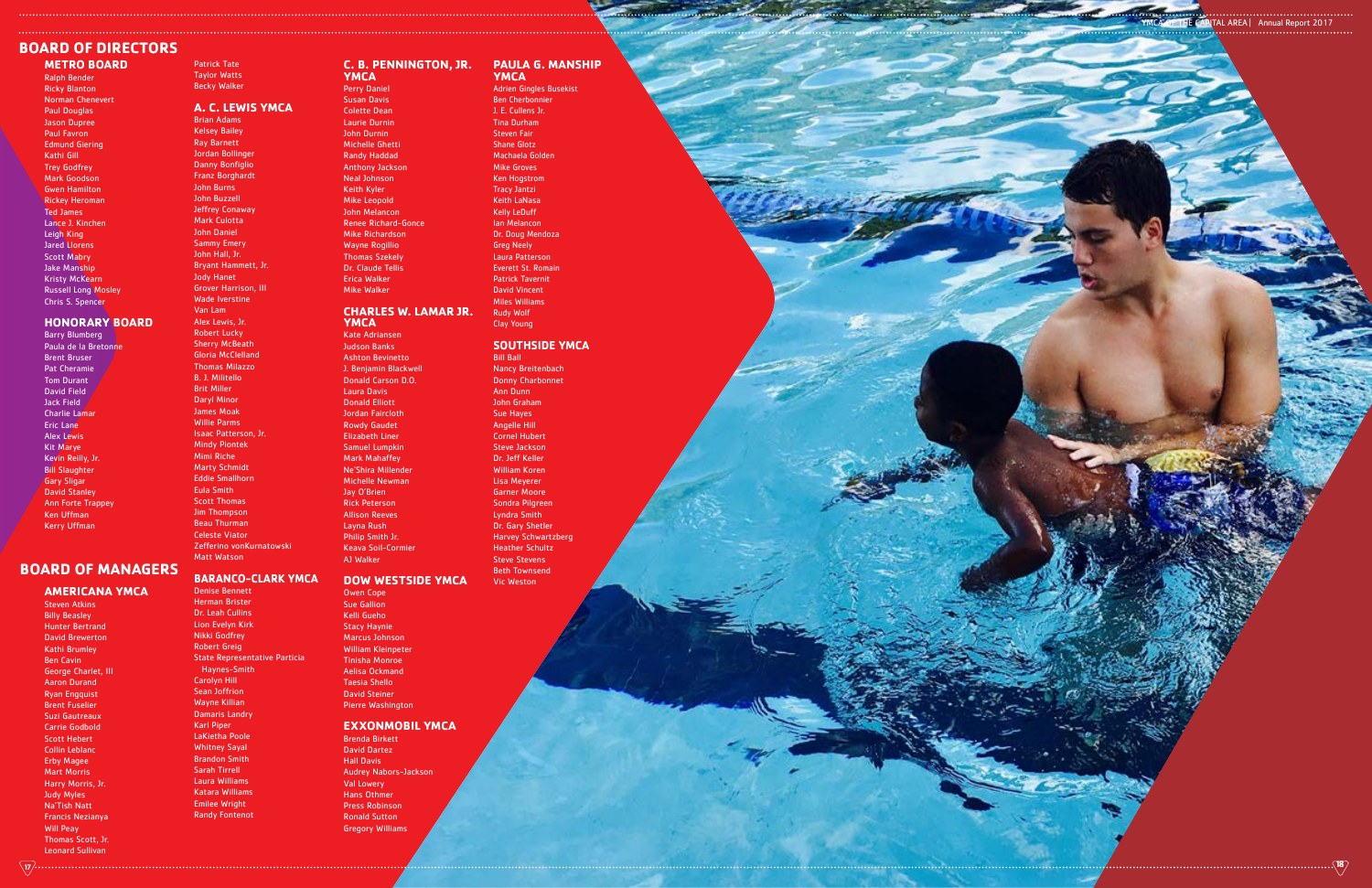**METRO BOARD** Ralph Bender Ricky Blanton Norman Chenevert Paul Douglas Jason Dupree Paul Favron Edmund Giering Kathi Gill Trey Godfrey Mark Goodson Gwen Hamilton Rickey Heroman Ted James Lance J. Kinchen Leigh King Jared Llorens Scott Mabry Jake Manship Kristy McKearn Russell Long Mosley Chris S. Spencer

### **HONORARY BOARD**

Barry Blumberg Paula de la Bretonne Brent Bruser Pat Cheramie Tom Durant David Field Jack Field Charlie Lamar Eric Lane Alex Lewis Kit Marye Kevin Reilly, Jr. Bill Slaughter Gary Sligar David Stanley Ann Forte Trappey Ken Uffman Kerry Uffman

### **AMERICANA YMCA**

Steven Atkins Billy Beasley Hunter Bertrand David Brewerton Kathi Brumley Ben Cavin George Charlet, III Aaron Durand Ryan Engquist Brent Fuselier Suzi Gautreaux Carrie Godbold Scott Hebert Collin Leblanc Erby Magee Mart Morris Harry Morris, Jr. Judy Myles Na'Tish Natt Francis Nezianya Will Peay Thomas Scott, Jr. Leonard Sullivan

Patrick Tate Taylor Watts Becky Walker

### **A. C. LEWIS YMCA** Brian Adams

Kelsey Bailey Ray Barnett Jordan Bollinger Danny Bonfiglio Franz Borghardt John Burns John Buzzell Jeffrey Conaway Mark Culotta John Daniel Sammy Emery John Hall, Jr. Bryant Hammett, Jr. Jody Hanet Grover Harrison, III Wade Iverstine Van Lam Alex Lewis, Jr. Robert Lucky **Sherry McBeath** Gloria McClelland Thomas Milazzo B. J. Militello Brit Miller Daryl Minor James Moak Willie Parms Isaac Patterson, Jr. Mindy Piontek Mimi Riche Marty Schmidt Eddie Smallhorn Eula Smith Scott Thomas Jim Thompson Beau Thurman Celeste Viator Zefferino vonKurnatowski Matt Watson

# **BARANCO-CLARK YMCA**

Denise Bennett Herman Brister Dr. Leah Cullins Lion Evelyn Kirk Nikki Godfrey Robert Greig State Representative Particia Haynes-Smith Carolyn Hill Sean Joffrion Wayne Killian Damaris Landry Karl Piper LaKietha Poole Whitney Sayal Brandon Smith Sarah Tirrell Laura Williams Katara Williams Emilee Wright

Randy Fontenot

### **C. B. PENNINGTON, JR. YMCA**

# Perry Daniel

Susan Davis Colette Dean Laurie Durnin John Durnin Michelle Ghetti Randy Haddad Anthony Jackson Neal Johnson Keith Kyler Mike Leopold John Melancon Renee Richard-Gonce Mike Richardson Wayne Rogillio Thomas Szekely Dr. Claude Tellis Erica Walker Mike Walker

### **CHARLES W. LAMAR JR. YMCA**

Kate Adriansen Judson Banks Ashton Bevinetto J. Benjamin Blackwell Donald Carson D.O. Laura Davis Donald Elliott Jordan Faircloth Rowdy Gaudet Elizabeth Liner Samuel Lumpkin Mark Mahaffey Ne'Shira Millender Michelle Newman Jay O'Brien Rick Peterson Allison Reeves Layna Rush Philip Smith Jr. Keava Soil-Cormier AJ Walker

### **DOW WESTSIDE YMCA**

Owen Cope Sue Gallion Kelli Gueho Stacy Haynie Marcus Johnson William Kleinpeter Tinisha Monroe Aelisa Ockmand Taesia Shello David Steiner Pierre Washington

### **EXXONMOBIL YMCA**

Brenda Birkett David Dartez Hall Davis Audrey Nabors-Jackson Val Lowery Hans Othmer Press Robinson Ronald Sutton Gregory Williams

**PAULA G. MANSHIP YMCA**

Adrien Gingles Busekist Ben Cherbonnier J. E. Cullens Jr. Tina Durham Steven Fair Shane Glotz Machaela Golden Mike Groves Ken Hogstrom Tracy Jantzi Keith LaNasa Kelly LeDuff Ian Melancon Dr. Doug Mendoza Greg Neely Laura Patterson Everett St. Romain Patrick Tavernit David Vincent Miles Williams Rudy Wolf

Clay Young

### **SOUTHSIDE YMCA** Bill Ball

Nancy Breitenbach Donny Charbonnet Ann Dunn John Graham Sue Hayes Angelle Hill Cornel Hubert Steve Jackson Dr. Jeff Keller William Koren Lisa Meyerer Garner Moore Sondra Pilgreen Lyndra Smith Dr. Gary Shetler Harvey Schwartzberg Heather Schultz Steve Stevens Beth Townsend

Vic Weston

# **BOARD OF DIRECTORS**

# **BOARD OF MANAGERS**